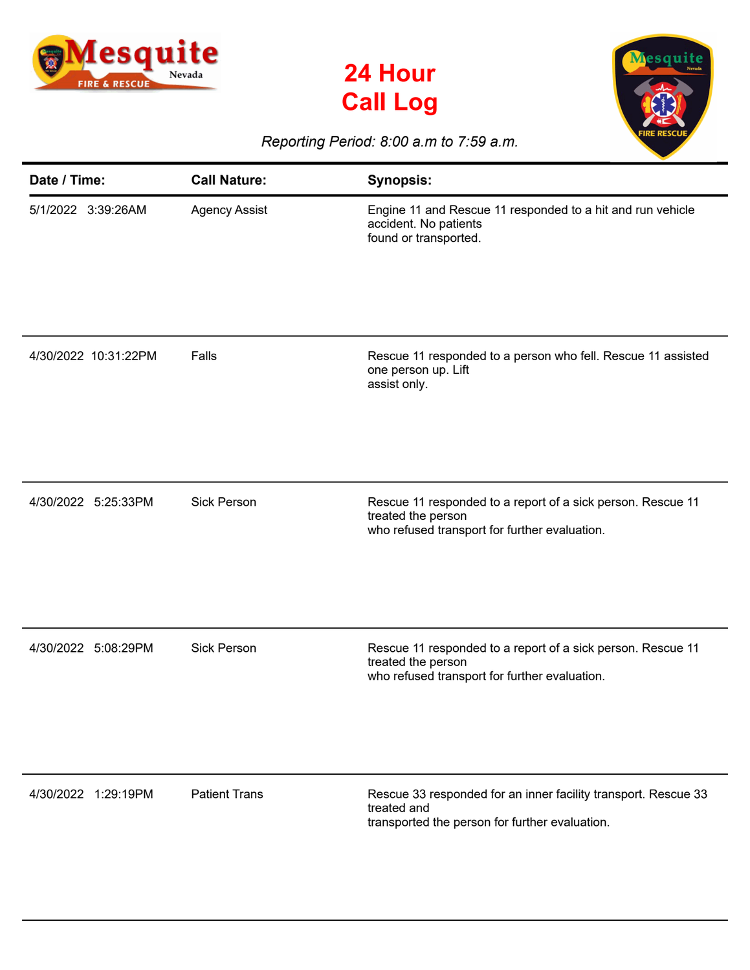





## *Reporting Period: 8:00 a.m to 7:59 a.m.*

| Date / Time:         | <b>Call Nature:</b>  | <b>Synopsis:</b>                                                                                                                   |
|----------------------|----------------------|------------------------------------------------------------------------------------------------------------------------------------|
| 5/1/2022 3:39:26AM   | <b>Agency Assist</b> | Engine 11 and Rescue 11 responded to a hit and run vehicle<br>accident. No patients<br>found or transported.                       |
| 4/30/2022 10:31:22PM | Falls                | Rescue 11 responded to a person who fell. Rescue 11 assisted<br>one person up. Lift<br>assist only.                                |
| 4/30/2022 5:25:33PM  | <b>Sick Person</b>   | Rescue 11 responded to a report of a sick person. Rescue 11<br>treated the person<br>who refused transport for further evaluation. |
| 4/30/2022 5:08:29PM  | <b>Sick Person</b>   | Rescue 11 responded to a report of a sick person. Rescue 11<br>treated the person<br>who refused transport for further evaluation. |
| 4/30/2022 1:29:19PM  | <b>Patient Trans</b> | Rescue 33 responded for an inner facility transport. Rescue 33<br>treated and<br>transported the person for further evaluation.    |